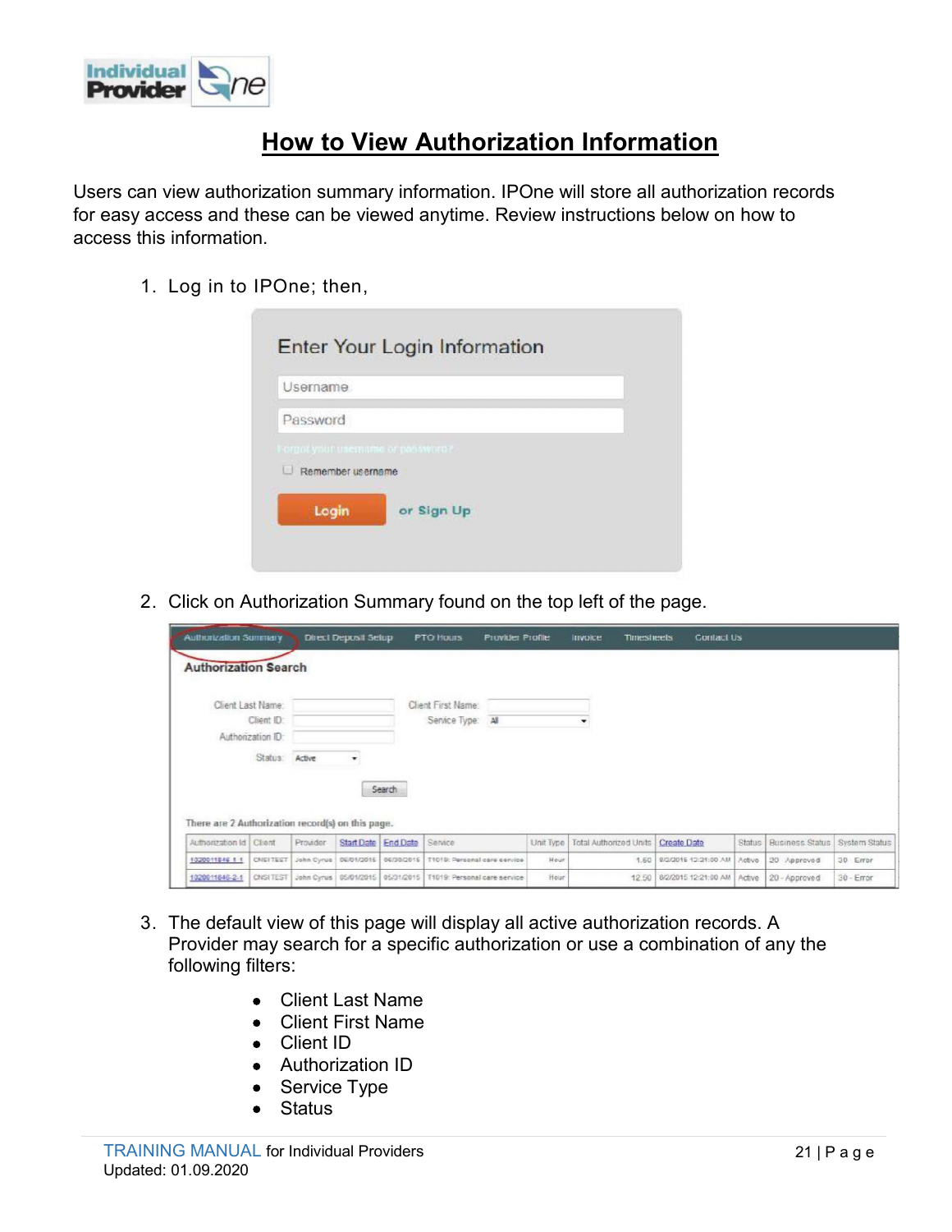

## **How to View Authorization Information**

Users can view authorization summary information. IPOne will store all authorization records for easy access and these can be viewed anytime. Review instructions below on how to access this information. **1. Log in to IPOne; then,**<br> **1. Log in to IPOne; then,**<br> **1. Log in to IPOne; then,**<br> **1. Log in to IPOne; then,**<br> **1. Log in to IPOne; then,**<br> **1. Log in to IPOne; then,**<br> **1. Log in to IPOne; then,**<br> **1. Log in to IPOne** 

| his information.             | an view durionzarion summary imomiarion. In One will store all durionzarion records<br>access and these can be viewed anytime. Review instructions below on how to |
|------------------------------|--------------------------------------------------------------------------------------------------------------------------------------------------------------------|
|                              | 1. Log in to IPOne; then,                                                                                                                                          |
|                              | Enter Your Login Information                                                                                                                                       |
|                              | <b>Username</b>                                                                                                                                                    |
|                              | Password                                                                                                                                                           |
|                              | Forgot your usemisms or password?                                                                                                                                  |
|                              | $\Box$ Remember username                                                                                                                                           |
|                              | Login<br>or Sign Up                                                                                                                                                |
|                              | 2. Click on Authorization Summary found on the top left of the page.                                                                                               |
| <b>Authorization Summary</b> | <b>Direct Deposit Setup</b><br>Contact Us<br><b>PTO Hours</b><br><b>Provider Profile</b><br><b>Timesheets</b><br>Invoice                                           |
| <b>Authorization Search</b>  |                                                                                                                                                                    |
| Change Local Massey          | Children County March                                                                                                                                              |

|                             | <b>Authorization Summary</b>                      |                                           | <b>Direct Deposit Setup</b> |        | <b>PTO Hours</b><br><b>Provider Profile</b> |           | <b>Timesheets</b><br><b>Invoice</b> | Contact Us                |        |                               |              |
|-----------------------------|---------------------------------------------------|-------------------------------------------|-----------------------------|--------|---------------------------------------------|-----------|-------------------------------------|---------------------------|--------|-------------------------------|--------------|
| <b>Authorization Search</b> |                                                   |                                           |                             |        |                                             |           |                                     |                           |        |                               |              |
|                             | Client Last Name:                                 |                                           |                             |        | Client First Name:                          |           |                                     |                           |        |                               |              |
|                             | Client ID:                                        |                                           |                             |        | Service Type: All                           |           | ۰                                   |                           |        |                               |              |
|                             | Authorization ID                                  |                                           |                             |        |                                             |           |                                     |                           |        |                               |              |
|                             | Status: Active                                    |                                           | $\bullet$                   |        |                                             |           |                                     |                           |        |                               |              |
| Authorization Id Client     | There are 2 Authorization record(s) on this page. | Provider                                  | Start Date End Date         | Search | Service                                     | Unit Type | Total Authorized Units              | <b>Create Date</b>        | Status | Business Status System Status |              |
|                             |                                                   |                                           |                             |        |                                             |           |                                     |                           |        |                               |              |
| 1020011846-1-1              |                                                   | CNSITEST John Cyrus 06/01/2015 06/30/2015 |                             |        | T1019: Personal care service                | Hour      |                                     | 1.50 8/2/2015 12:21:00 AM | Active | 20 - Approved                 | $30 - Error$ |

- Provider may search for a specific authorization or use a combination of any the following filters:
	- Client Last Name
	- Client First Name
	- Client ID
	- Authorization ID
	- Service Type
	- Status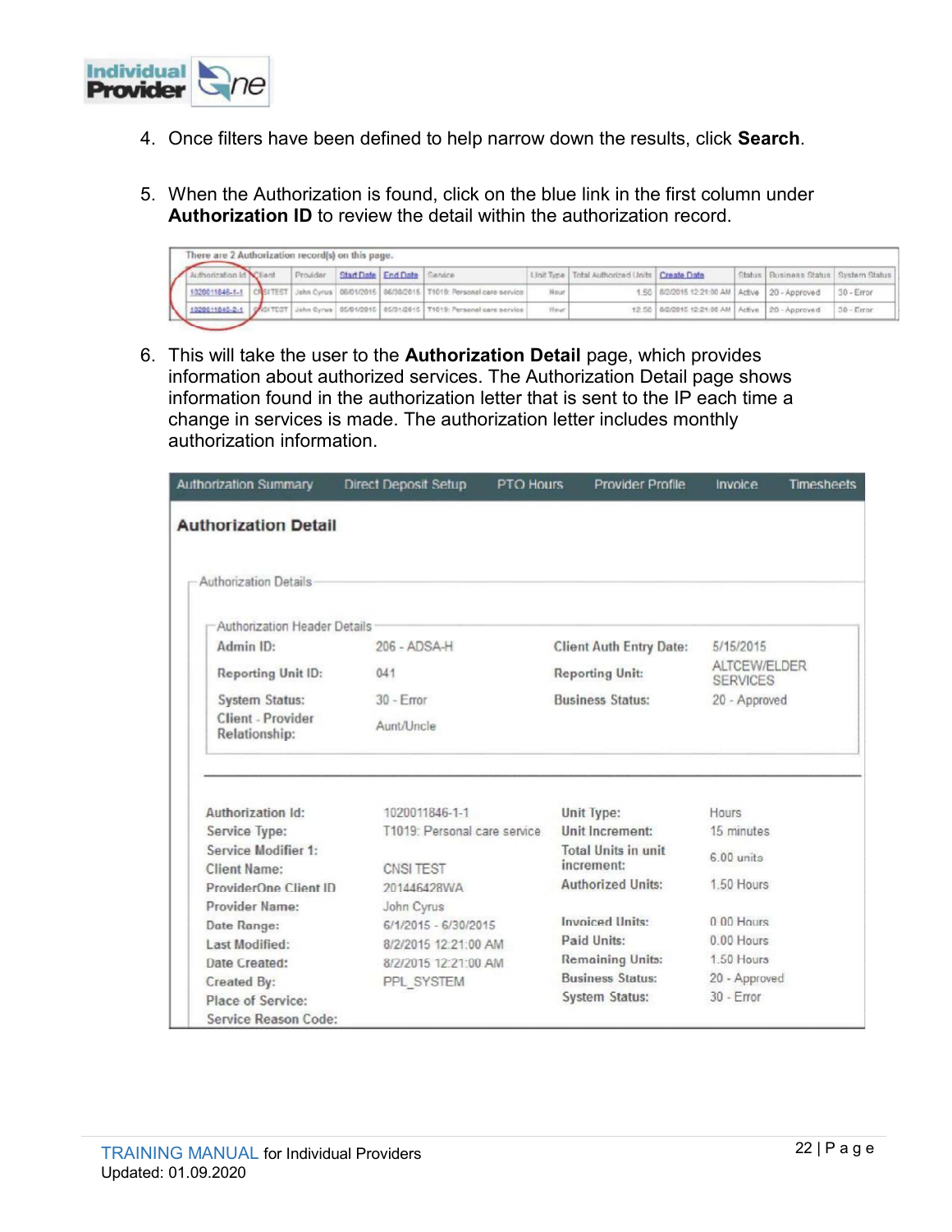

- 
- Authorization ID to review the detail within the authorization record.

|                                                   |                     |          |                                              |                               | 4. Once filters have been defined to help narrow down the results, click Search.                                                                                      |                   |                        |                                                 |                   |                                                  |              |
|---------------------------------------------------|---------------------|----------|----------------------------------------------|-------------------------------|-----------------------------------------------------------------------------------------------------------------------------------------------------------------------|-------------------|------------------------|-------------------------------------------------|-------------------|--------------------------------------------------|--------------|
|                                                   |                     |          |                                              |                               |                                                                                                                                                                       |                   |                        |                                                 |                   |                                                  |              |
|                                                   |                     |          |                                              |                               |                                                                                                                                                                       |                   |                        |                                                 |                   |                                                  |              |
|                                                   |                     |          |                                              |                               | 5. When the Authorization is found, click on the blue link in the first column under<br><b>Authorization ID</b> to review the detail within the authorization record. |                   |                        |                                                 |                   |                                                  |              |
|                                                   |                     |          |                                              |                               |                                                                                                                                                                       |                   |                        |                                                 |                   |                                                  |              |
| There are 2 Authorization record(s) on this page. |                     |          |                                              |                               |                                                                                                                                                                       |                   |                        |                                                 |                   |                                                  |              |
| Authorization Id<br>1020011846-1-1                | Client<br>CI SITEST | Provider | <b>Start Date</b><br>John Cyrus   06/01/2015 | <b>End Date</b><br>06/30/2015 | Service<br>T1019: Personal care service                                                                                                                               | Unit Type<br>Hour | Total Authorized Units | <b>Create Date</b><br>1.50 8/2/2015 12:21:00 AM | Status:<br>Active | Business Status   System Status<br>20 - Approved | 30 - Error   |
| 1020011846-2-1                                    |                     |          |                                              |                               | ONSITEST John Cyrus 05/01/2015 05/31/2015 T1019: Personal care service                                                                                                | Hour              |                        | 12.50 8/2/2015 12:21:00 AM                      | Active            | 20 - Approved                                    | $30 - Error$ |

**6.** This will take the user to the Authorization lefter that is sent to the IP each time and change in series is made. The authorization ID to review the detail within the authorization record.<br>
The series Authorization information about authorized services. The Authorization Detail page shows information found in the authorization letter that is sent to the IP each time a Change in services is made. This will take the user to the Authorization letter that is sent to the Peach finder and the authorization letter include  $\frac{1}{2}$  and  $\frac{1}{2}$  and  $\frac{1}{2}$  and  $\frac{1}{2}$  and  $\frac{1}{2}$  and authorization information.

| <b>Authorization Summary</b>        | <b>Direct Deposit Setup</b>  | <b>Provider Profile</b><br><b>PTO Hours</b> | Invoice<br><b>Timesheets</b>    |
|-------------------------------------|------------------------------|---------------------------------------------|---------------------------------|
| <b>Authorization Detail</b>         |                              |                                             |                                 |
| Authorization Details               |                              |                                             |                                 |
| Authorization Header Details        |                              |                                             |                                 |
| Admin ID:                           | 206 - ADSA-H                 | <b>Client Auth Entry Date:</b>              | 5/15/2015                       |
| <b>Reporting Unit ID:</b>           | 041                          | <b>Reporting Unit:</b>                      | ALTCEW/ELDER<br><b>SERVICES</b> |
| <b>System Status:</b>               | $30 -$ Error                 | <b>Business Status:</b>                     | 20 - Approved                   |
| Client - Provider<br>Relationship:  | Aunt/Uncle                   |                                             |                                 |
| Authorization Id:                   | 1020011846-1-1               | Unit Type:                                  | Hours                           |
| Service Type:                       | T1019: Personal care service | Unit Increment:                             | 15 minutes                      |
| Service Modifier 1:<br>Client Name: | CNSI TEST                    | Total Units in unit<br>increment:           | $6.00$ units                    |
| ProviderOne Client ID               | 201446428WA                  | <b>Authorized Units:</b>                    | 1.50 Hours                      |
| <b>Provider Name:</b>               | John Cyrus                   |                                             |                                 |
| Date Range:                         | 6/1/2015 - 6/30/2015         | Invoiced Units:                             | $0.00$ Hours                    |
| Last Modified:                      | 8/2/2015 12:21:00 AM         | Paid Units:                                 | 0.00 Hours                      |
| Date Created:                       | 8/2/2015 12:21:00 AM         | <b>Remaining Units:</b>                     | 1.50 Hours                      |
| <b>Created By:</b>                  | PPL SYSTEM                   | <b>Business Status:</b>                     | 20 - Approved                   |
| Place of Service:                   |                              | <b>System Status:</b>                       | $30 - Error$                    |
| Service Reason Code:                |                              |                                             |                                 |